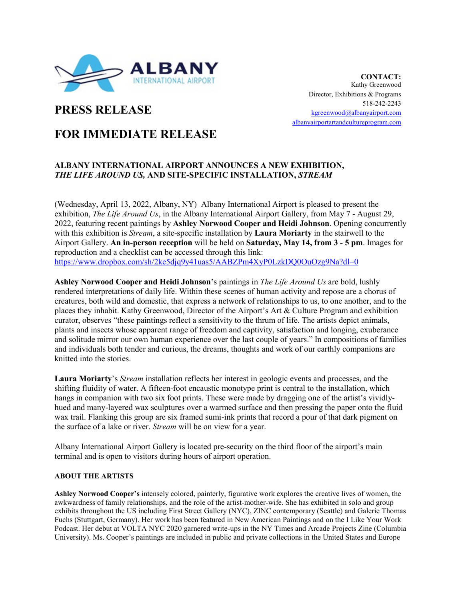

**CONTACT:** Kathy Greenwood Director, Exhibitions & Programs 518-242-2243 [kgreenwood@albanyairport.com](mailto:kgreenwood@albanyairport.com) [albanyairportartandcultureprogram.com](https://www.albanyairportartandcultureprogram.com/)

# **PRESS RELEASE**

## **FOR IMMEDIATE RELEASE**

## **ALBANY INTERNATIONAL AIRPORT ANNOUNCES A NEW EXHIBITION,**  *THE LIFE AROUND US,* **AND SITE-SPECIFIC INSTALLATION,** *STREAM*

(Wednesday, April 13, 2022, Albany, NY) Albany International Airport is pleased to present the exhibition, *The Life Around Us*, in the Albany International Airport Gallery, from May 7 - August 29, 2022, featuring recent paintings by **Ashley Norwood Cooper and Heidi Johnson**. Opening concurrently with this exhibition is *Stream*, a site-specific installation by **Laura Moriarty** in the stairwell to the Airport Gallery. **An in-person reception** will be held on **Saturday, May 14, from 3 - 5 pm**. Images for reproduction and a checklist can be accessed through this link: <https://www.dropbox.com/sh/2ke5djq9y41uas5/AABZPm4XyP0LzkDQ0OuOzg9Na?dl=0>

**Ashley Norwood Cooper and Heidi Johnson**'s paintings in *The Life Around Us* are bold, lushly rendered interpretations of daily life. Within these scenes of human activity and repose are a chorus of creatures, both wild and domestic, that express a network of relationships to us, to one another, and to the places they inhabit. Kathy Greenwood, Director of the Airport's Art & Culture Program and exhibition curator, observes "these paintings reflect a sensitivity to the thrum of life. The artists depict animals, plants and insects whose apparent range of freedom and captivity, satisfaction and longing, exuberance and solitude mirror our own human experience over the last couple of years." In compositions of families and individuals both tender and curious, the dreams, thoughts and work of our earthly companions are knitted into the stories.

**Laura Moriarty**'s *Stream* installation reflects her interest in geologic events and processes, and the shifting fluidity of water. A fifteen-foot encaustic monotype print is central to the installation, which hangs in companion with two six foot prints. These were made by dragging one of the artist's vividlyhued and many-layered wax sculptures over a warmed surface and then pressing the paper onto the fluid wax trail. Flanking this group are six framed sumi-ink prints that record a pour of that dark pigment on the surface of a lake or river. *Stream* will be on view for a year.

Albany International Airport Gallery is located pre-security on the third floor of the airport's main terminal and is open to visitors during hours of airport operation.

### **ABOUT THE ARTISTS**

**Ashley Norwood Cooper's** intensely colored, painterly, figurative work explores the creative lives of women, the awkwardness of family relationships, and the role of the artist-mother-wife. She has exhibited in solo and group exhibits throughout the US including First Street Gallery (NYC), ZINC contemporary (Seattle) and Galerie Thomas Fuchs (Stuttgart, Germany). Her work has been featured in New American Paintings and on the I Like Your Work Podcast. Her debut at VOLTA NYC 2020 garnered write-ups in the NY Times and Arcade Projects Zine (Columbia University). Ms. Cooper's paintings are included in public and private collections in the United States and Europe